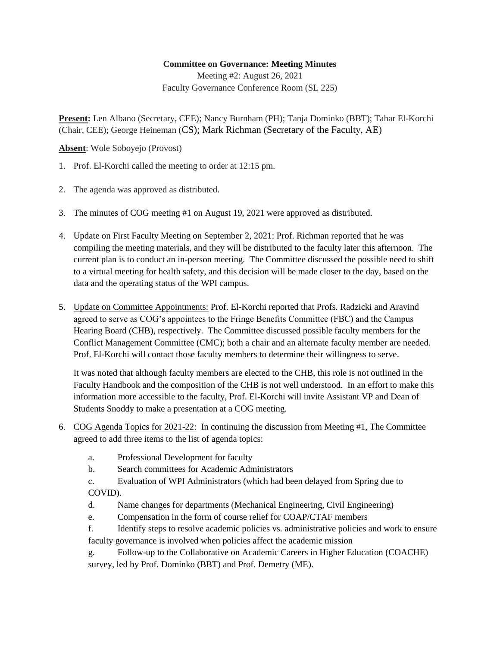## **Committee on Governance: Meeting Minutes**

Meeting #2: August 26, 2021 Faculty Governance Conference Room (SL 225)

**Present:** Len Albano (Secretary, CEE); Nancy Burnham (PH); Tanja Dominko (BBT); Tahar El-Korchi (Chair, CEE); George Heineman (CS); Mark Richman (Secretary of the Faculty, AE)

**Absent**: Wole Soboyejo (Provost)

- 1. Prof. El-Korchi called the meeting to order at 12:15 pm.
- 2. The agenda was approved as distributed.
- 3. The minutes of COG meeting #1 on August 19, 2021 were approved as distributed.
- 4. Update on First Faculty Meeting on September 2, 2021: Prof. Richman reported that he was compiling the meeting materials, and they will be distributed to the faculty later this afternoon. The current plan is to conduct an in-person meeting. The Committee discussed the possible need to shift to a virtual meeting for health safety, and this decision will be made closer to the day, based on the data and the operating status of the WPI campus.
- 5. Update on Committee Appointments: Prof. El-Korchi reported that Profs. Radzicki and Aravind agreed to serve as COG's appointees to the Fringe Benefits Committee (FBC) and the Campus Hearing Board (CHB), respectively. The Committee discussed possible faculty members for the Conflict Management Committee (CMC); both a chair and an alternate faculty member are needed. Prof. El-Korchi will contact those faculty members to determine their willingness to serve.

It was noted that although faculty members are elected to the CHB, this role is not outlined in the Faculty Handbook and the composition of the CHB is not well understood. In an effort to make this information more accessible to the faculty, Prof. El-Korchi will invite Assistant VP and Dean of Students Snoddy to make a presentation at a COG meeting.

- 6. COG Agenda Topics for 2021-22: In continuing the discussion from Meeting #1, The Committee agreed to add three items to the list of agenda topics:
	- a. Professional Development for faculty
	- b. Search committees for Academic Administrators
	- c. Evaluation of WPI Administrators (which had been delayed from Spring due to COVID).
	- d. Name changes for departments (Mechanical Engineering, Civil Engineering)
	- e. Compensation in the form of course relief for COAP/CTAF members
	- f. Identify steps to resolve academic policies vs. administrative policies and work to ensure faculty governance is involved when policies affect the academic mission
	- g. Follow-up to the Collaborative on Academic Careers in Higher Education (COACHE) survey, led by Prof. Dominko (BBT) and Prof. Demetry (ME).